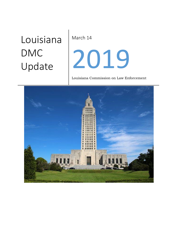# Louisiana DMC Update

March 14

# 2019

Louisiana Commission on Law Enforcement

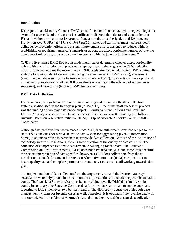#### **Introduction**

Disproportionate Minority Contact (DMC) exits if the rate of the contact with the juvenile justice system for a specific minority group is significantly different than the rate of contact for non-Hispanic whites or other minority groups. Pursuant to the Juvenile Justice and Delinquency Prevention Act (JJDPA) at 42 U.S.C. 5633 (a)(22), states and territories must " address youth delinquency prevention efforts and system improvement efforts designed to reduce, without establishing or requiring numerical standards or quotas, the disproportionate number of juvenile members of minority groups who come into contact with the juvenile justice system".

OJJDP's five- phase DMC Reduction model helps states determine whether disproportionality exists within a jurisdiction, and provides a step- by- step model to guide the DMC reduction efforts. Louisiana utilizes the recommended DMC Reduction cycle; addressing DMC continually with the following: identification (identifying the extent to which DMC exists), assessment (examining and determining the factors that contribute to DMC), interventions (developing and implementing strategies to reduce DMC), evaluation (evaluating the efficacy of implemented strategies), and monitoring (tracking DMC trends over time).

# **DMC Data Collection:**

Louisiana has put significant resources into increasing and improving the data collection systems, as discussed in the three-year plan (2015-2017). One of the most successful projects was the funding of two major statewide projects, Louisiana Supreme Court and Louisiana District Attorney's Association. The other successful endeavor was the funding of a full-time Juvenile Detention Alternative Initiative (JDAI)/ Disproportionate Minority Contact (DMC) Coordinator.

Although data participation has increased since 2012, there still remain some challenges for the state. Louisiana does not have a statewide data system for aggregating juvenile information. Some jurisdictions refuse to participate in statewide data collection. Because of the lack of use of technology in some jurisdictions, there is some question of the quality of data collected. The collection of comprehensive arrest data remains challenging for the state. The Louisiana Commission on Law Enforcement (LCLE) does not have data analysts, and some issues require the correct interpretation of data specifics; however, LCLE does collect data from those jurisdictions identified as Juvenile Detention Alternative Initiative (JDAI) sites. In order to insure quality data and complete participation statewide, Louisiana is still working towards this goal.

The implementation of data collection from the Supreme Court and the District Attorney's Association were only piloted in a small number of jurisdictions to include the juvenile and adult courts. The Louisiana Supreme Court has been receiving juvenile DMC data from six pilot courts. In summary, the Supreme Court needs a full calendar year of data to enable automatic reporting to LCLE; however, two barriers remain. The district/city courts use their adult case management systems for juvenile cases as well. Therefore, it is optional if the juvenile data will be exported. As for the District Attorney's Association, they were able to start data collection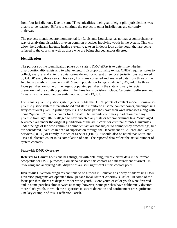from four jurisdictions. Due to some IT technicalities, their goal of eight pilot jurisdictions was unable to be reached. Efforts to continue the project to other jurisdictions are currently underway.

The projects mentioned are monumental for Louisiana. Louisiana has not had a comprehensive way of analyzing disparities or even common practices involving youth in the system. This will allow the Louisiana juvenile justice system to take an in depth look at the youth that are being referred to the courts, as well as those who are being charged and/or diverted.

# **Identification**

The purpose of the identification phase of a state's DMC effort is to determine whether disproportionality exists and to what extent, if disproportionality exists. OJJDP requires states to collect, analyze, and enter the data statewide and for at least three local jurisdictions, approved by OJJDP every three years. This year, Louisiana collected and analyzed data from three of the five focus parishes. Louisiana's 2016 youth population for ages 0-16 is 1,045,524. The three focus parishes are some of the largest populated parishes in the state and vary in racial breakdown of the youth population. The three focus parishes include: Calcasieu, Jefferson, and Orleans, with a combined juvenile population of 213,381.

Louisiana's juvenile justice system generally fits the OJJDP points of contact model. Louisiana's juvenile justice system is parish-based and state monitored at some contact points, encompassing sixty-four local juvenile justice systems. The focus parishes have their own databases along with being "specialty" juvenile courts for the state. The juvenile court has jurisdiction over any juvenile from ages 10-16 alleged to have violated any state or federal criminal law. Youth aged seventeen are under the original jurisdiction of the adult court for criminal offenses. Juveniles under the age of ten who commit a delinquent act are not subject to delinquency proceedings, but are considered juveniles in need of supervision through the Department of Children and Family Services (DCFS) or Family in Need of Services (FINS). It should also be noted that Louisiana uses a duplicated count in its compilation of data. The reported data reflect the actual number of system contacts.

# **Statewide DMC Overview**

**Referral to Court:** Louisiana has struggled with obtaining juvenile arrest data in the format acceptable for DMC purposes; Louisiana has used this contact as a measurement of arrest. In reviewing and analyzing data, disparities are still significant at this contact point.

**Diversion:** Diversion programs continue to be a focus in Louisiana as a way of addressing DMC. Diversion programs are operated through each local District Attorney's Office. In some of the focus parishes, there are disparities for white youth. More youth of color youth were diverted, and in some parishes almost twice as many; however, some parishes have deliberately diverted more black youth, in which the disparities in secure detention and confinement are significant. One key example of this is Jefferson Parish.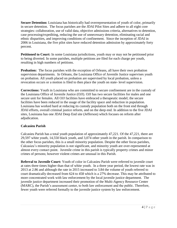**Secure Detention:** Louisiana has historically had overrepresentation of youth of color, primarily in secure detention. The focus parishes are the JDAI Pilot Sites and adhere to all eight core strategies: collaboration, use of valid data, objective admissions criteria, alternatives to detention, case processing/expediting, reducing the use of unnecessary detention, eliminating racial and ethnic disparities, and improving conditions of confinement. Since the inception of JDAI in 2006 in Louisiana, the five pilot sites have reduced detention admission by approximately forty percent.

**Petitioned to Court:** In some Louisiana jurisdictions, youth may or may not be petitioned prior to being diverted. In some parishes, multiple petitions are filed for each charge per youth, resulting in high numbers of petitions.

**Probation:** The focus parishes with the exception of Orleans, all have their own probation supervision departments. In Orleans, the Louisiana Office of Juvenile Justice supervises youth on probation. All youth placed on probation are supervised by local probation, unless a revocation occurs or a motion is filed to then place the youth on state- level supervision.

**Corrections:** Youth in Louisiana who are committed to secure confinement are in the custody of the Louisiana Office of Juvenile Justice (OJJ). OJJ has two secure facilities for males and one secure unit for females. All OJJ facilities have embraced a therapeutic model; the secure facilities have been reduced in the usage of the facility space and reduction in population. Louisiana has worked hard at reducing its custody population both on the front end through JDAI efforts, overall criminal justice reform, and on the deep end. In addition to the five JDAI sites, Louisiana has one JDAI Deep End site (Jefferson) which focuses on reform after adjudication.

# **Calcasieu Parish**

Calcasieu Parish has a total youth population of approximately 47,221. Of the 47,221, there are 29,597 white youth, 14,550 black youth, and 3,074 other youth in the parish. In comparison to the other focus parishes, this is a small minority population. Despite the other focus parishes, Calcasieu's minority population is not significant, and minority youth are over-represented at almost every contact point. Juvenile crime in this parish is typically property crimes and minor crimes of persons; however violent crimes are unusual in this Parish.

**Referral to Juvenile Court:** Youth of color in Calcasieu Parish were referred to juvenile court at rates three times higher than that of white youth. In a three year period, the lowest rate was in 2013 at 2.86 and although the rate in 2015 increased to 3.84 the volume of youth referred to court dramatically decreased from 624 to 458 which is a 27% decrease. This may be attributed to more concentrated work with law enforcement by the local juvenile justice department. The juvenile justice department increased their promotion of the Multi-Agency Resource Center (MARC), the Parish's assessment center, to both law enforcement and the public. Therefore, fewer youth were referred formally to the juvenile justice system by law enforcement.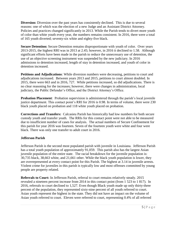**Diversion:** Diversion over the past years has consistently declined. This is due to several reasons: one of which was the election of a new Judge and an Assistant District Attorney. Policies and practices changed significantly in 2013. While the Parish tends to divert more youth of color than white youth every year, the numbers remains consistent. In 2016, there were a total of 165 youth diverted; seventy-six white and eighty-five black.

**Secure Detention:** Secure Detention remains disproportionate with youth of color. Over years 2013-2015, the highest RRI was in 2013 at 2.45; however, in 2016 it declined to 1.58. Although significant efforts have been made in the parish to reduce the unnecessary use of detention, the use of an objective screening instrument was suspended by the new judiciary. In 2016 admissions to detention increased, length of stay in detention increased, and youth of color in detention increased.

**Petitions and Adjudications**: While diversion numbers were decreasing, petitions to court and adjudications increased. Between years 2013 and 2015, petitions to court almost doubled. In 2015, there were 663 and in 2016, 727. While petitions increased, so did adjudications. There is no clear reasoning for the increases; however, there were changes in administration, local judiciary, the Public Defender's Office, and the District Attorney's Office.

**Probation Placement:** Probation supervision is administered through the parish's local juvenile justice department. This contact point's RRI for 2016 is 0.98. In terms of volume, there were 230 black youth placed on probation and 118 white youth placed on probation.

**Corrections and Transfers:** Calcasieu Parish has historically had low numbers for both secure custody youth and transfer youth. The RRIs for this contact point were not able to be measured due to insufficient number of cases for analysis. The actual numbers of Secure Confinement for this parish for year 2016 was fourteen. Seven of the fourteen youth were white and four were black. There was only one transfer to adult court in 2016.

# **Jefferson Parish**

Jefferson Parish is the second most populated parish with juvenile in Louisiana. Jefferson Parish has a total youth population of approximately 91,059. This parish also has the largest Asian juvenile population of the entire state. The racial breakdown for the juvenile population is: 30,735 black, 38,663 white, and 21,661 other. While the black youth population is lower, they are overrepresented at every contact point for this Parish. The highest at 3.14 in juvenile arrests. Violent crime for juveniles in this parish is typically low and most offenses committed by young people are property related.

**Referrals to Court:** In Jefferson Parish, referral to court remains relatively steady. 2015 revealed a nineteen percent increase from 2014 in this contact point (from 1 523 to 1 817). In 2016, referrals to court declined to 1,527. Even though Black youth made up only thirty-three percent of the population, they represented sixty-nine percent of all youth referred to court. Asian youth represent the highest in the state. They did not have an impact on the volume of Asian youth referred to court. Eleven were referred to court, representing 0.4% of all referred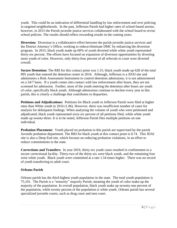youth. This could be an indication of differential handling by law enforcement and over policing in targeted neighborhoods. In the past, Jefferson Parish had higher rates of school-based arrests; however, in 2015 the Parish juvenile justice services collaborated with the school board to revise school policies. The results should reflect rewarding results in the coming years.

**Diversion:** Diversion is a collaborative effort between the parish juvenile justice services and the District Attorney's Office, working to reduce/eliminate DMC by enhancing the diversion program. In 2015, black youth made up 60% of youth diverted while white youth represented thirty-six percent. The efforts have focused on expansion of diversion opportunities by diverting more youth of color. However, only thirty-four percent of all referrals to court were diverted overall.

**Secure Detention:** The RRI for this contact point was 1.31; black youth made up 628 of the total 895 youth that entered the detention center in 2016. Although, Jefferson is a JDAI site and administers a Risk Assessment Instrument to control detention admissions, it is not administered on a 24/7 basis. If a youth comes into contact with law enforcement after hours, they are not screened for admission. Further, most of the youth entering the detention after hours are youth of color, specifically black youth. Although admissions continue to decline every year in this parish, this is clearly a challenge that contributes to disparities.

**Petitions and Adjudications:** Petitions for Black youth in Jefferson Parish were filed at higher rates than White youth in 2016 (1.06). However, there was insufficient number of cases for analysis for delinquent findings. When analyzing the volume of youth who were petitioned and adjudicated, black youth represented sixty-six percent of all petitions filed, while white youth made up twenty-three. It is to be noted, Jefferson Parish files multiple petitions on one individual.

**Probation Placement:** Youth placed on probation in this parish are supervised by the parish Juvenile probation department. The RRI for black youth at this contact point is 0.74. This JDAI site is also a Deep End site, which focuses on reducing probation violations, in an effort to reduce commitments to the state.

**Corrections and Transfers:** In year 2016, thirty-six youth cases resulted in confinement to a secure correctional facility. Thirty-two of the thirty-six were black youth, and the remaining four were white youth. Black youth were committed at a rate 1.54 times higher. There was no record of youth transferring to adult court.

# **Orleans Parish**

Orleans parish has the third highest youth population in the state. The total youth population is 75,101. The Parish is a "minority" majority Parish, meaning the youth of color make-up the majority of the population. In overall population, black youth make up seventy-one percent of the population, while twenty percent of the population is white youth. Orleans parish has several specialized juvenile courts; such as drug court and teen court.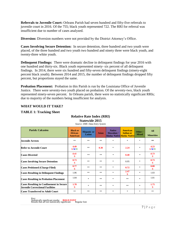**Referrals to Juvenile Court:** Orleans Parish had seven hundred and fifty-five referrals to juvenile court in 2016. Of the 755; black youth represented 722. The RRI for referral was insufficient due to number of cases analyzed.

**Diversion:** Diversion numbers were not provided by the District Attorney's Office.

**Cases Involving Secure Detention:** In secure detention, three hundred and two youth were placed, of the three hundred and two youth two hundred and ninety three were black youth, and twenty-three white youth.

**Delinquent Findings:** There were dramatic decline in delinquent findings for year 2016 with one hundred and thirty-six. Black youth represented ninety- six percent of all delinquent findings. In 2014, there were six hundred and fifty-seven delinquent findings (ninety-eight percent black youth). Between 2014 and 2015, the number of delinquent findings dropped fifty percent, but proportions stayed the same.

**Probation Placement:** Probation in this Parish is run by the Louisiana Office of Juvenile Justice. There were seventy-two youth placed on probation. Of the seventy-two, black youth represented ninety-seven percent. In Orleans parish, there were no statistically significant RRIs; due to majority of the numbers being insufficient for analysis.

# **WHAT WOULD IT TAKE?**

#### **TABLE 1: Tracking Sheet**

# **Relative Rate Index (RRI)**

# **Statewide 2015**

| <b>Parish: Calcasieu</b>                                                                   | <b>Black or</b><br>African-<br><b>American</b> | <b>Hispanic or</b><br>Latino | <b>Asian</b> | <b>Native</b><br>Hawaiian/ | <b>American</b><br><b>Indian or</b><br>Alaska Native Alaska Native | Other /<br><b>Mixed</b> | <b>All</b><br><b>Minorities</b> |
|--------------------------------------------------------------------------------------------|------------------------------------------------|------------------------------|--------------|----------------------------|--------------------------------------------------------------------|-------------------------|---------------------------------|
| <b>Juvenile Arrests</b>                                                                    | **                                             | **                           | **           | $*$                        | $\ast$                                                             | $\star$                 | $\pm\,\pm$                      |
| <b>Refer to Juvenile Court</b>                                                             | 4.49<br><b>SMV</b>                             | **                           | 0.30         | $\ast$                     | 2.24                                                               | $\ast$                  | 4.23<br><b>SMV</b>              |
| <b>Cases Diverted</b>                                                                      | 0.41<br>S                                      | **                           | **           | $\ast$                     | 0.40                                                               | $\frac{1}{2}$           | 0.73<br>S                       |
| <b>Cases Involving Secure Detention</b>                                                    | 0.73<br>S                                      | **                           | **           | $\ast$                     | 0.95                                                               | $\ast$                  | 0.73<br>S                       |
| <b>Cases Petitioned (Charge Filed)</b>                                                     | 0.77<br>S                                      | **                           | **           | $*$                        | 0.72                                                               | $\ast$                  | 0.80<br>S                       |
| <b>Cases Resulting in Delinquent Findings</b>                                              | 1.06                                           | **                           | **           | $*$                        | 2.47<br>S                                                          | $\ast$                  | 1.03                            |
| <b>Cases Resulting in Probation Placement</b>                                              | 1.04                                           | $\ast$                       | **           | $*$                        | **                                                                 | $\ast$                  | 1.01                            |
| <b>Cases Resulting in Confinement in Secure</b><br><b>Juvenile Correctional Facilities</b> | 1.78<br>s                                      | $\ast$                       | **           | $*$                        | **                                                                 | $\ast$                  | 1.75<br>S                       |
| <b>Cases Transferred to Adult Court</b>                                                    | 米米                                             | $**$                         | **           | $\ast$                     | $\ast$                                                             | $\ast$                  | **                              |

Key: Statistically significant results: **BOLD FONT** Results that are not statistically significant: Regular font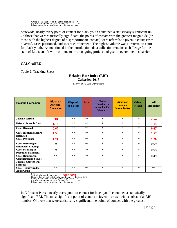Group is less than 1% of the youth population: \*<br>Insufficient number of cases of analysis: \*\*<br>Missing data for some element of calculation: ---

Statewide, nearly every point of contact for black youth contained a statistically significant RRI. Of those that were statistically significant, the points of contact with the greatest magnitude (or those with the highest degree of disproportionate contact) were referrals to juvenile court; cases diverted, cases petitioned, and secure confinement. The highest volume was at referral to court for black youth. As mentioned in the introduction, data collection remains a challenge for the state of Louisiana. It will continue to be an ongoing project and goal to overcome this barrier.

> **Relative Rate Index (RRI) Calcasieu 2016** *Source: DMC Data Entry System*

# **CALCASIEU**

Table 2: Tracking Sheet

| <b>Parish: Calcasieu</b>                                                                                       | <b>Black or</b><br>African-<br><b>American</b> | <b>Hispanic</b><br>or Latino | <b>Asian</b> | <b>Native</b><br><b>Hawaiian or</b><br>other Pacific<br><b>Islanders</b> | American<br><b>Indian or</b><br><b>Alaska Native</b> | Other/<br><b>Mixed</b> | <b>All</b><br><b>Minorities</b> |
|----------------------------------------------------------------------------------------------------------------|------------------------------------------------|------------------------------|--------------|--------------------------------------------------------------------------|------------------------------------------------------|------------------------|---------------------------------|
| <b>Juvenile Arrests</b>                                                                                        | 3.01                                           | $**$                         | $**$         | $\ast$                                                                   | $*$                                                  | $*$                    | 2.54                            |
| <b>Refer to Juvenile Court</b>                                                                                 | 1.13                                           | $**$                         | $**$         | $\ast$                                                                   | $\ast$                                               | $\ast$                 | 1.15                            |
| <b>Cases Diverted</b>                                                                                          | 0.67                                           | $**$                         | $**$         | $\ast$                                                                   | $*$                                                  | $\ast$                 | 0.67                            |
| <b>Cases Involving Secure</b><br><b>Detention</b>                                                              | 1.58                                           | $**$                         | **           | $\ast$                                                                   | $*$                                                  | $\ast$                 | 1.57                            |
| <b>Cases Petitioned</b>                                                                                        | 1.21                                           | $**$                         | $**$         | $\ast$                                                                   | $*$                                                  | $\ast$                 | 1.20                            |
| <b>Cases Resulting in</b><br><b>Delinquent Findings</b>                                                        | 0.98                                           | $**$                         | $**$         | $\ast$                                                                   | $*$                                                  | $\ast$                 | 0.99                            |
| <b>Cases resulting in</b><br><b>Probation Placement</b>                                                        | 0.98                                           | $**$                         | **           | $\ast$                                                                   | $*$                                                  | $\ast$                 | 0.95                            |
| <b>Cases Resulting in</b><br><b>Confinement in Secure</b><br><b>Juvenile Correctional</b><br><b>Facilities</b> | $**$                                           | $**$                         | $**$         | $\ast$                                                                   | $*$                                                  | $\ast$                 | 0.49                            |
| <b>Cases Transferred to</b><br><b>Adult Court</b>                                                              | $**$                                           | $**$                         | $**$         | $\ast$                                                                   | $*$                                                  | $\ast$                 | $**$                            |

Key:<br>Statistically significant results: **BOLD FONT**<br>Results that are not statistically significant: Regular font<br>Group is less than 1% of the youth population:<br>Insufficient number of cases of analysis:  $**$ <br>Missing data for

In Calcasieu Parish, nearly every point of contact for black youth contained a statistically significant RRI. The most significant point of contact is juvenile arrest, with a substantial RRI number. Of those that were statistically significant, the points of contact with the greatest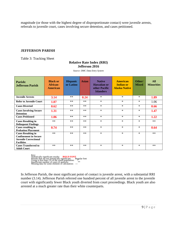magnitude (or those with the highest degree of disproportionate contact) were juvenile arrests, referrals to juvenile court, cases involving secure detention, and cases petitioned.

# **JEFFERSON PARISH**

Table 3: Tracking Sheet

#### **Relative Rate Index (RRI) Jefferson 2016**

| Parish:<br><b>Jefferson Parish</b>                                                                             | <b>Black or</b><br>African-<br><b>American</b> | <b>Hispanic</b><br>or Latino | <b>Asian</b> | <b>Native</b><br><b>Hawaiian or</b><br>other Pacific<br><b>Islanders</b> | <b>American</b><br><b>Indian or</b><br><b>Alaska Native</b> | Other/<br><b>Mixed</b> | <b>All</b><br><b>Minorities</b> |
|----------------------------------------------------------------------------------------------------------------|------------------------------------------------|------------------------------|--------------|--------------------------------------------------------------------------|-------------------------------------------------------------|------------------------|---------------------------------|
| <b>Juvenile Arrests</b>                                                                                        | 3.14                                           | $**$                         | 0.24         | $\ast$                                                                   | $\ast$                                                      | $*$                    | 1.89                            |
| <b>Refer to Juvenile Court</b>                                                                                 | 1.07                                           | $**$                         | $**$         | $\ast$                                                                   | $\ast$                                                      | $\ast$                 | 1.06                            |
| <b>Cases Diverted</b>                                                                                          | 0.62                                           | $**$                         | $**$         | $\ast$                                                                   | $\star$                                                     | $*$                    | 0.66                            |
| <b>Cases Involving Secure</b><br><b>Detention</b>                                                              | 1.31                                           | $**$                         | $**$         | $\ast$                                                                   | $\ast$                                                      | $\ast$                 | 1.47                            |
| <b>Cases Petitioned</b>                                                                                        | 1.06                                           | $**$                         | $**$         | $\ast$                                                                   | $\ast$                                                      | $\ast$                 | 1.22                            |
| <b>Cases Resulting in</b><br><b>Delinquent Findings</b>                                                        | $**$                                           | $**$                         | $**$         | $\ast$                                                                   | $\ast$                                                      | $*$                    | $**$                            |
| <b>Cases resulting in</b><br><b>Probation Placement</b>                                                        | 0.74                                           | $**$                         | $**$         | $\ast$                                                                   | $\ast$                                                      | $\ast$                 | 0.64                            |
| <b>Cases Resulting in</b><br><b>Confinement in Secure</b><br><b>Juvenile Correctional</b><br><b>Facilities</b> | $**$                                           | $**$                         | $**$         | $\ast$                                                                   | $\star$                                                     | $*$                    | $**$                            |
| <b>Cases Transferred to</b><br><b>Adult Court</b>                                                              | $**$                                           | $**$                         | $**$         | $\ast$                                                                   | $\ast$                                                      | $*$                    | $**$                            |

*Source: DMC Data Entry System*

Key:<br>Statistically significant results: **BOLD FONT**<br>Results that are not statistically significant: Regular font<br>Group is less than 1% of the youth population:<br>Insufficient number of cases of analysis: <br>Missing data for so

In Jefferson Parish, the most significant point of contact is juvenile arrest, with a substantial RRI number (3.14). Jefferson Parish referred one hundred percent of all juvenile arrest to the juvenile court with significantly fewer Black youth diverted from court proceedings. Black youth are also arrested at a much greater rate than their white counterparts.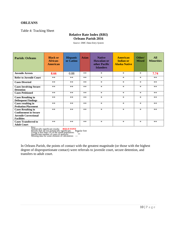#### **ORLEANS**

Table 4: Tracking Sheet

# **Relative Rate Index (RRI) Orleans Parish 2016**

*Source: DMC Data Entry System*

| <b>Parish: Orleans</b>                                                                                         | <b>Black or</b><br>African-<br><b>American</b> | <b>Hispanic</b><br>or Latino | <b>Asian</b> | <b>Native</b><br><b>Hawaiian or</b><br>other Pacific<br><b>Islanders</b> | <b>American</b><br><b>Indian or</b><br><b>Alaska Native</b> | Other/<br><b>Mixed</b> | <b>All</b><br><b>Minorities</b> |
|----------------------------------------------------------------------------------------------------------------|------------------------------------------------|------------------------------|--------------|--------------------------------------------------------------------------|-------------------------------------------------------------|------------------------|---------------------------------|
| <b>Juvenile Arrests</b>                                                                                        | 8.66                                           | 0.88                         | $**$         | $\ast$                                                                   | $\ast$                                                      | $\ast$                 | 7.74                            |
| <b>Refer to Juvenile Court</b>                                                                                 | $**$                                           | $**$                         | $**$         | $\ast$                                                                   | $\ast$                                                      | $\ast$                 | $**$                            |
| <b>Cases Diverted</b>                                                                                          | $**$                                           | $**$                         | $**$         | $\ast$                                                                   | $\ast$                                                      | $\ast$                 | $**$                            |
| <b>Cases Involving Secure</b><br><b>Detention</b>                                                              | $**$                                           | $**$                         | $**$         | $\ast$                                                                   | $\ast$                                                      | $\ast$                 | $**$                            |
| <b>Cases Petitioned</b>                                                                                        | $**$                                           | $**$                         | $**$         | $\ast$                                                                   | $\ast$                                                      | $\ast$                 | $**$                            |
| <b>Cases Resulting in</b><br><b>Delinquent Findings</b>                                                        | $**$                                           | $**$                         | $**$         | $\ast$                                                                   | $\ast$                                                      | $\ast$                 | $**$                            |
| <b>Cases resulting in</b><br><b>Probation Placement</b>                                                        | $**$                                           | **                           | $**$         | $\ast$                                                                   | $\ast$                                                      | $\ast$                 | $**$                            |
| <b>Cases Resulting in</b><br><b>Confinement in Secure</b><br><b>Juvenile Correctional</b><br><b>Facilities</b> | $**$                                           | $**$                         | $**$         | $\ast$                                                                   | $\ast$                                                      | $\ast$                 | $**$                            |
| <b>Cases Transferred to</b><br><b>Adult Court</b>                                                              | $**$                                           | $**$                         | $**$         | $\ast$                                                                   | $\ast$                                                      | $\ast$                 | $**$                            |

Key:<br>Statistically significant results: **BOLD FONT**<br>Results that are not statistically significant: Regular font<br>Group is less than 1% of the youth population:<br>Insufficient number of cases of analysis:  $**$ <br>Missing data for

In Orleans Parish, the points of contact with the greatest magnitude (or those with the highest degree of disproportionate contact) were referrals to juvenile court, secure detention, and transfers to adult court.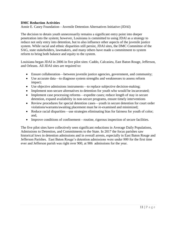#### **DMC Reduction Activities**

Annie E. Casey Foundation—Juvenile Detention Alternatives Initiative (JDAI)

The decision to detain youth unnecessarily remains a significant entry point into deeper penetration into the system; however, Louisiana is committed to using JDAI as a strategy to reduce not only entry into detention, but to also influence other aspects of the juvenile justice system. While racial and ethnic disparities still persist, JDAI sites, the DMC Committee of the SAG, state stakeholders, lawmakers, and many others have made a commitment to system reform to bring both balance and equity to the system.

Louisiana began JDAI in 2006 in five pilot sites: Caddo, Calcasieu, East Baton Rouge, Jefferson, and Orleans. All JDAI sites are required to:

- Ensure collaboration—between juvenile justice agencies, government, and community;
- Use accurate data—to diagnose system strengths and weaknesses to assess reform impact;
- Use objective admissions instruments—to replace subjective decision-making;
- Implement non-secure alternatives to detention for youth who would be incarcerated;
- Implement case processing reforms—expedite cases; reduce length of stay in secure detention, expand availability in non-secure programs, ensure timely interventions
- Review procedures for special detention cases—youth in secure detention for court order violations/warrants/awaiting placement must be re-examined and minimized;
- Reduce racial disparities—use strategies eliminating bias for fairness for youth of color; and,
- Improve conditions of confinement—routine, rigorous inspection of secure facilities.

The five pilot sites have collectively seen significant reductions in Average Daily Populations, Admissions to Detention, and Commitments to the State. In 2017 the focus parishes saw historical lows in detention admissions and in overall arrests, especially in East Baton Rouge and Jefferson Parishes. East Baton Rouge's detention admissions were under 800 for the first time ever and Jefferson parish was right over 900, at 906 admissions for the year.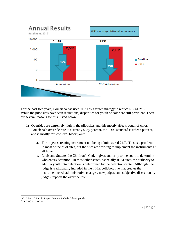

For the past two years, Louisiana has used JDAI as a target strategy to reduce RED/DMC. While the pilot sites have seen reductions, disparities for youth of color are still prevalent. There are several reasons for this, listed below:

- 1) Overrides are extremely high in the pilot sites and this mostly affects youth of color. Louisiana's override rate is currently sixty percent, the JDAI standard is fifteen percent, and is mostly for low level black youth.
	- a. The object screening instrument not being administered 24/7. This is a problem in most of the pilot sites, but the sites are working to implement the instruments at all hours.
	- b. Louisiana Statute, the Children's Code<sup>1</sup>, gives authority to the court to determine who enters detention. In most other states, especially JDAI sites, the authority to admit a youth into detention is determined by the detention center. Although, the judge is traditionally included in the initial collaborative that creates the instrument used, administrative changes, new judges, and subjective discretion by judges impacts the override rate.

 $\overline{a}$ 

<sup>&</sup>lt;sup>1</sup>2017 Annual Results Report does not include Orleans parish

<sup>2</sup>LA CHC Art. 817 A